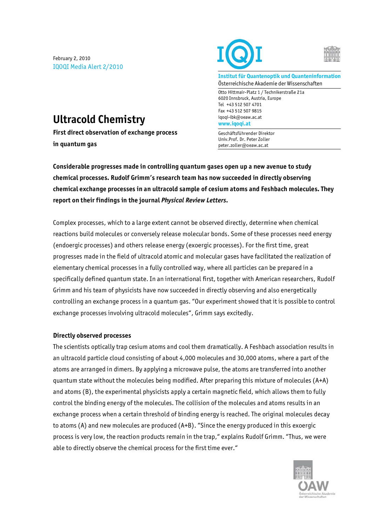February 2, 2010 IQOQI Media Alert 2/2010





**Institut für Quantenoptik und Quanteninformation**  Österreichische Akademie der Wissenschaften

Otto Hittmair-Platz 1 / Technikerstraße 21a 6020 Innsbruck, Austria, Europe Tel +43 512 507 4701 Fax +43 512 507 9815 iqoqi-ibk@oeaw.ac.at **www.iqoqi.at** 

Geschäftsführender Direktor Univ.Prof. Dr. Peter Zoller peter.zoller@oeaw.ac.at

## **Ultracold Chemistry**

**First direct observation of exchange process in quantum gas** 

**Considerable progresses made in controlling quantum gases open up a new avenue to study chemical processes. Rudolf Grimm's research team has now succeeded in directly observing chemical exchange processes in an ultracold sample of cesium atoms and Feshbach molecules. They report on their findings in the journal** *Physical Review Letters.*

Complex processes, which to a large extent cannot be observed directly, determine when chemical reactions build molecules or conversely release molecular bonds. Some of these processes need energy (endoergic processes) and others release energy (exoergic processes). For the first time, great progresses made in the field of ultracold atomic and molecular gases have facilitated the realization of elementary chemical processes in a fully controlled way, where all particles can be prepared in a specifically defined quantum state. In an international first, together with American researchers, Rudolf Grimm and his team of physicists have now succeeded in directly observing and also energetically controlling an exchange process in a quantum gas. "Our experiment showed that it is possible to control exchange processes involving ultracold molecules", Grimm says excitedly.

## **Directly observed processes**

The scientists optically trap cesium atoms and cool them dramatically. A Feshbach association results in an ultracold particle cloud consisting of about 4,000 molecules and 30,000 atoms, where a part of the atoms are arranged in dimers. By applying a microwave pulse, the atoms are transferred into another quantum state without the molecules being modified. After preparing this mixture of molecules (A+A) and atoms (B), the experimental physicists apply a certain magnetic field, which allows them to fully control the binding energy of the molecules. The collision of the molecules and atoms results in an exchange process when a certain threshold of binding energy is reached. The original molecules decay to atoms (A) and new molecules are produced (A+B). "Since the energy produced in this exoergic process is very low, the reaction products remain in the trap," explains Rudolf Grimm. "Thus, we were able to directly observe the chemical process for the first time ever."